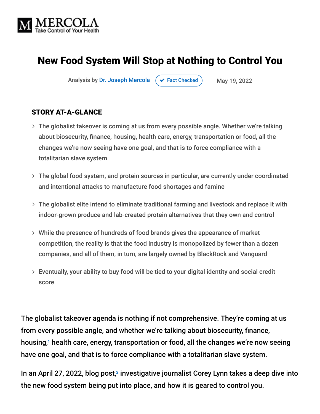

# New Food System Will Stop at Nothing to Control You

Analysis by [Dr. Joseph Mercola](https://www.mercola.com/forms/background.htm)  $\left( \right. \times$  [Fact Checked](javascript:void(0))  $\left. \right)$  May 19, 2022

#### STORY AT-A-GLANCE

- The globalist takeover is coming at us from every possible angle. Whether we're talking about biosecurity, finance, housing, health care, energy, transportation or food, all the changes we're now seeing have one goal, and that is to force compliance with a totalitarian slave system
- The global food system, and protein sources in particular, are currently under coordinated and intentional attacks to manufacture food shortages and famine
- The globalist elite intend to eliminate traditional farming and livestock and replace it with indoor-grown produce and lab-created protein alternatives that they own and control
- While the presence of hundreds of food brands gives the appearance of market competition, the reality is that the food industry is monopolized by fewer than a dozen companies, and all of them, in turn, are largely owned by BlackRock and Vanguard
- Eventually, your ability to buy food will be tied to your digital identity and social credit score

The globalist takeover agenda is nothing if not comprehensive. They're coming at us from every possible angle, and whether we're talking about biosecurity, finance, housing,<sup>1</sup> health care, energy, transportation or food, all the changes we're now seeing have one goal, and that is to force compliance with a totalitarian slave system.

In an April 27, 2022, blog post,<sup>2</sup> investigative journalist Corey Lynn takes a deep dive into the new food system being put into place, and how it is geared to control you.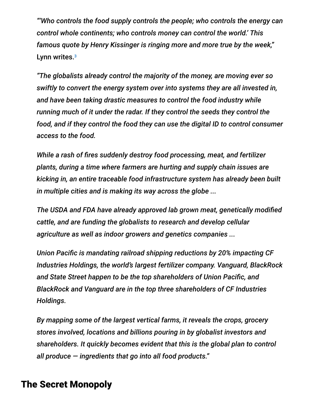*"'Who controls the food supply controls the people; who controls the energy can control whole continents; who controls money can control the world.' This famous quote by Henry Kissinger is ringing more and more true by the week,"* Lynn writes.<sup>3</sup>

*"The globalists already control the majority of the money, are moving ever so swiftly to convert the energy system over into systems they are all invested in, and have been taking drastic measures to control the food industry while running much of it under the radar. If they control the seeds they control the food, and if they control the food they can use the digital ID to control consumer access to the food.*

*While a rash of fires suddenly destroy food processing, meat, and fertilizer plants, during a time where farmers are hurting and supply chain issues are kicking in, an entire traceable food infrastructure system has already been built in multiple cities and is making its way across the globe ...*

*The USDA and FDA have already approved lab grown meat, genetically modified cattle, and are funding the globalists to research and develop cellular agriculture as well as indoor growers and genetics companies ...*

*Union Pacific is mandating railroad shipping reductions by 20% impacting CF Industries Holdings, the world's largest fertilizer company. Vanguard, BlackRock and State Street happen to be the top shareholders of Union Pacific, and BlackRock and Vanguard are in the top three shareholders of CF Industries Holdings.*

*By mapping some of the largest vertical farms, it reveals the crops, grocery stores involved, locations and billions pouring in by globalist investors and shareholders. It quickly becomes evident that this is the global plan to control all produce — ingredients that go into all food products."*

## The Secret Monopoly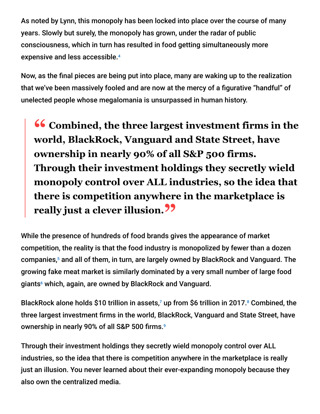As noted by Lynn, this monopoly has been locked into place over the course of many years. Slowly but surely, the monopoly has grown, under the radar of public consciousness, which in turn has resulted in food getting simultaneously more expensive and less accessible. 4

Now, as the final pieces are being put into place, many are waking up to the realization that we've been massively fooled and are now at the mercy of a figurative "handful" of unelected people whose megalomania is unsurpassed in human history.

**<sup>66</sup>** Combined, the three largest investment firms in the world RlackRock Vanguard and State Street have **world, BlackRock, Vanguard and State Street, have ownership in nearly 90% of all S&P 500 firms. Through their investment holdings they secretly wield monopoly control over ALL industries, so the idea that there is competition anywhere in the marketplace is really just a clever illusion."**

While the presence of hundreds of food brands gives the appearance of market competition, the reality is that the food industry is monopolized by fewer than a dozen companies,<sup>5</sup> and all of them, in turn, are largely owned by BlackRock and Vanguard. The growing fake meat market is similarly dominated by a very small number of large food giants<sup>6</sup> which, again, are owned by BlackRock and Vanguard.

BlackRock alone holds \$10 trillion in assets,<sup>7</sup> up from \$6 trillion in 2017.<sup>8</sup> Combined, the three largest investment firms in the world, BlackRock, Vanguard and State Street, have ownership in nearly 90% of all S&P 500 firms. 9

Through their investment holdings they secretly wield monopoly control over ALL industries, so the idea that there is competition anywhere in the marketplace is really just an illusion. You never learned about their ever-expanding monopoly because they also own the centralized media.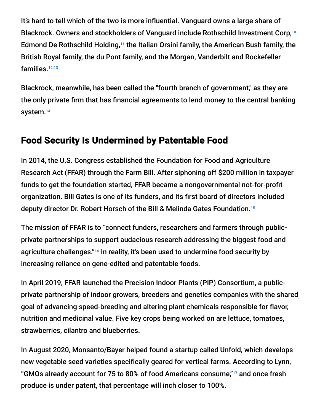It's hard to tell which of the two is more influential. Vanguard owns a large share of Blackrock. Owners and stockholders of Vanguard include Rothschild Investment Corp,<sup>10</sup> Edmond De Rothschild Holding, $11$  the Italian Orsini family, the American Bush family, the British Royal family, the du Pont family, and the Morgan, Vanderbilt and Rockefeller families. 12,13

Blackrock, meanwhile, has been called the "fourth branch of government," as they are the only private firm that has financial agreements to lend money to the central banking system. 14

## Food Security Is Undermined by Patentable Food

In 2014, the U.S. Congress established the Foundation for Food and Agriculture Research Act (FFAR) through the Farm Bill. After siphoning off \$200 million in taxpayer funds to get the foundation started, FFAR became a nongovernmental not-for-profit organization. Bill Gates is one of its funders, and its first board of directors included deputy director Dr. Robert Horsch of the Bill & Melinda Gates Foundation. 15

The mission of FFAR is to "connect funders, researchers and farmers through publicprivate partnerships to support audacious research addressing the biggest food and agriculture challenges."<sup>16</sup> In reality, it's been used to undermine food security by increasing reliance on gene-edited and patentable foods.

In April 2019, FFAR launched the Precision Indoor Plants (PIP) Consortium, a publicprivate partnership of indoor growers, breeders and genetics companies with the shared goal of advancing speed-breeding and altering plant chemicals responsible for flavor, nutrition and medicinal value. Five key crops being worked on are lettuce, tomatoes, strawberries, cilantro and blueberries.

In August 2020, Monsanto/Bayer helped found a startup called Unfold, which develops new vegetable seed varieties specifically geared for vertical farms. According to Lynn, "GMOs already account for 75 to 80% of food Americans consume,"<sup>17</sup> and once fresh produce is under patent, that percentage will inch closer to 100%.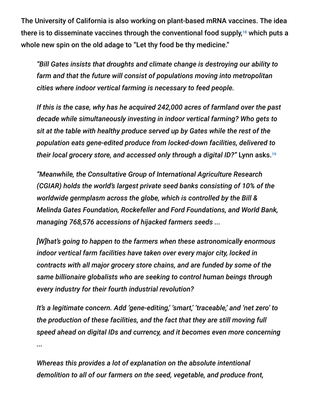The University of California is also working on plant-based mRNA vaccines. The idea there is to disseminate vaccines through the conventional food supply, $^{18}$  which puts a whole new spin on the old adage to "Let thy food be thy medicine."

*"Bill Gates insists that droughts and climate change is destroying our ability to farm and that the future will consist of populations moving into metropolitan cities where indoor vertical farming is necessary to feed people.*

*If this is the case, why has he acquired 242,000 acres of farmland over the past decade while simultaneously investing in indoor vertical farming? Who gets to sit at the table with healthy produce served up by Gates while the rest of the population eats gene-edited produce from locked-down facilities, delivered to their local grocery store, and accessed only through a digital ID?"* Lynn asks. 19

*"Meanwhile, the Consultative Group of International Agriculture Research (CGIAR) holds the world's largest private seed banks consisting of 10% of the worldwide germplasm across the globe, which is controlled by the Bill & Melinda Gates Foundation, Rockefeller and Ford Foundations, and World Bank, managing 768,576 accessions of hijacked farmers seeds ...*

*[W]hat's going to happen to the farmers when these astronomically enormous indoor vertical farm facilities have taken over every major city, locked in contracts with all major grocery store chains, and are funded by some of the same billionaire globalists who are seeking to control human beings through every industry for their fourth industrial revolution?*

*It's a legitimate concern. Add 'gene-editing,' 'smart,' 'traceable,' and 'net zero' to the production of these facilities, and the fact that they are still moving full speed ahead on digital IDs and currency, and it becomes even more concerning ...*

*Whereas this provides a lot of explanation on the absolute intentional demolition to all of our farmers on the seed, vegetable, and produce front,*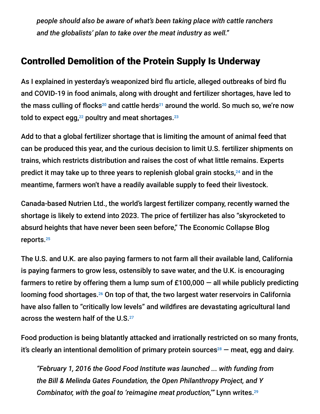*people should also be aware of what's been taking place with cattle ranchers and the globalists' plan to take over the meat industry as well."*

## Controlled Demolition of the Protein Supply Is Underway

As I explained in yesterday's weaponized bird flu article, alleged outbreaks of bird flu and COVID-19 in food animals, along with drought and fertilizer shortages, have led to the mass culling of flocks $^{20}$  and cattle herds $^{21}$  around the world. So much so, we're now told to expect egg, $^{22}$  poultry and meat shortages. $^{23}$ 

Add to that a global fertilizer shortage that is limiting the amount of animal feed that can be produced this year, and the curious decision to limit U.S. fertilizer shipments on trains, which restricts distribution and raises the cost of what little remains. Experts predict it may take up to three years to replenish global grain stocks, $^{24}$  and in the meantime, farmers won't have a readily available supply to feed their livestock.

Canada-based Nutrien Ltd., the world's largest fertilizer company, recently warned the shortage is likely to extend into 2023. The price of fertilizer has also "skyrocketed to absurd heights that have never been seen before," The Economic Collapse Blog reports. 25

The U.S. and U.K. are also paying farmers to not farm all their available land, California is paying farmers to grow less, ostensibly to save water, and the U.K. is encouraging farmers to retire by offering them a lump sum of  $£100,000 -$  all while publicly predicting looming food shortages.<sup>26</sup> On top of that, the two largest water reservoirs in California have also fallen to "critically low levels" and wildfires are devastating agricultural land across the western half of the U.S. 27

Food production is being blatantly attacked and irrationally restricted on so many fronts, it's clearly an intentional demolition of primary protein sources $^{28}$  – meat, egg and dairy.

*"February 1, 2016 the Good Food Institute was launched ... with funding from the Bill & Melinda Gates Foundation, the Open Philanthropy Project, and Y Combinator, with the goal to 'reimagine meat production,'"* Lynn writes. 29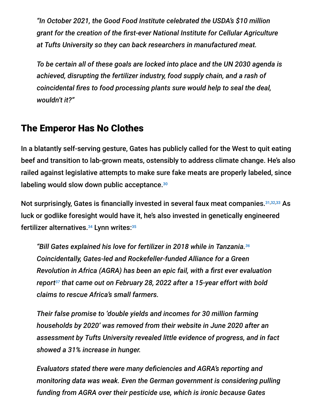*"In October 2021, the Good Food Institute celebrated the USDA's \$10 million grant for the creation of the first-ever National Institute for Cellular Agriculture at Tufts University so they can back researchers in manufactured meat.*

*To be certain all of these goals are locked into place and the UN 2030 agenda is achieved, disrupting the fertilizer industry, food supply chain, and a rash of coincidental fires to food processing plants sure would help to seal the deal, wouldn't it?"*

## The Emperor Has No Clothes

In a blatantly self-serving gesture, Gates has publicly called for the West to quit eating beef and transition to lab-grown meats, ostensibly to address climate change. He's also railed against legislative attempts to make sure fake meats are properly labeled, since labeling would slow down public acceptance.<sup>30</sup>

Not surprisingly, Gates is financially invested in several faux meat companies.<sup>31,32,33</sup> As luck or godlike foresight would have it, he's also invested in genetically engineered fertilizer alternatives.<sup>34</sup> Lynn writes: 35

*"Bill Gates explained his love for fertilizer in 2018 while in Tanzania. 36 Coincidentally, Gates-led and Rockefeller-funded Alliance for a Green Revolution in Africa (AGRA) has been an epic fail, with a first ever evaluation* report $^{37}$  that came out on February 28, 2022 after a 15-year effort with bold *claims to rescue Africa's small farmers.*

*Their false promise to 'double yields and incomes for 30 million farming households by 2020' was removed from their website in June 2020 after an assessment by Tufts University revealed little evidence of progress, and in fact showed a 31% increase in hunger.*

*Evaluators stated there were many deficiencies and AGRA's reporting and monitoring data was weak. Even the German government is considering pulling funding from AGRA over their pesticide use, which is ironic because Gates*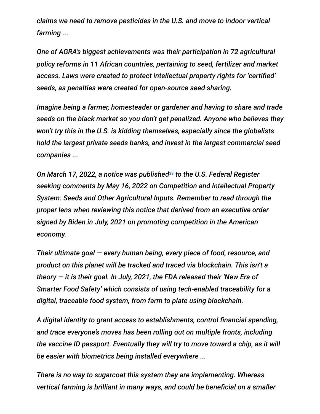*claims we need to remove pesticides in the U.S. and move to indoor vertical farming ...*

*One of AGRA's biggest achievements was their participation in 72 agricultural policy reforms in 11 African countries, pertaining to seed, fertilizer and market access. Laws were created to protect intellectual property rights for 'certified' seeds, as penalties were created for open-source seed sharing.*

*Imagine being a farmer, homesteader or gardener and having to share and trade seeds on the black market so you don't get penalized. Anyone who believes they won't try this in the U.S. is kidding themselves, especially since the globalists hold the largest private seeds banks, and invest in the largest commercial seed companies ...*

*On March 17, 2022, a notice was published to the U.S. Federal Register* 38*seeking comments by May 16, 2022 on Competition and Intellectual Property System: Seeds and Other Agricultural Inputs. Remember to read through the proper lens when reviewing this notice that derived from an executive order signed by Biden in July, 2021 on promoting competition in the American economy.*

*Their ultimate goal — every human being, every piece of food, resource, and product on this planet will be tracked and traced via blockchain. This isn't a theory — it is their goal. In July, 2021, the FDA released their 'New Era of Smarter Food Safety' which consists of using tech-enabled traceability for a digital, traceable food system, from farm to plate using blockchain.*

*A digital identity to grant access to establishments, control financial spending, and trace everyone's moves has been rolling out on multiple fronts, including the vaccine ID passport. Eventually they will try to move toward a chip, as it will be easier with biometrics being installed everywhere ...*

*There is no way to sugarcoat this system they are implementing. Whereas vertical farming is brilliant in many ways, and could be beneficial on a smaller*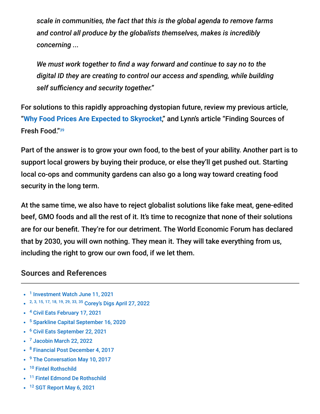*scale in communities, the fact that this is the global agenda to remove farms and control all produce by the globalists themselves, makes is incredibly concerning ...*

*We must work together to find a way forward and continue to say no to the digital ID they are creating to control our access and spending, while building self sufficiency and security together."*

For solutions to this rapidly approaching dystopian future, review my previous article, "**[Why Food Prices Are Expected to Skyrocket](https://takecontrol.substack.com/p/food-shortages-price-increases?s=w)**," and Lynn's article "Finding Sources of Fresh Food." 39

Part of the answer is to grow your own food, to the best of your ability. Another part is to support local growers by buying their produce, or else they'll get pushed out. Starting local co-ops and community gardens can also go a long way toward creating food security in the long term.

At the same time, we also have to reject globalist solutions like fake meat, gene-edited beef, GMO foods and all the rest of it. It's time to recognize that none of their solutions are for our benefit. They're for our detriment. The World Economic Forum has declared that by 2030, you will own nothing. They mean it. They will take everything from us, including the right to grow our own food, if we let them.

#### **Sources and References**

- <sup>1</sup> [Investment Watch June 11, 2021](https://www.investmentwatchblog.com/blackrock-is-buying-every-single-family-house-they-can-find-paying-20-50-above-asking-price-and-outbidding-normal-home-buyers/)
- 2, 3, 15, 17, 18, 19, 29, 33, 35 [Corey's Digs April 27, 2022](https://www.coreysdigs.com/global/new-controlled-food-system-is-now-in-place-and-they-will-stop-at-nothing-to-accelerate-their-control/)
- <sup>4</sup> [Civil Eats February 17, 2021](https://civileats.com/2021/02/17/op-ed-monopolies-in-the-food-system-make-food-more-expensive-and-less-accessible/)
- <sup>5</sup> [Sparkline Capital September 16, 2020](https://www.sparklinecapital.com/post/monopolies-are-distorting-the-stock-market)
- <sup>6</sup> [Civil Eats September 22, 2021](https://civileats.com/2021/09/22/op-ed-giant-meat-and-dairy-companies-are-dominating-the-plant-based-protein-market/)
- <sup>7</sup> [Jacobin March 22, 2022](https://jacobinmag.com/2022/03/index-funds-blackrock-vanguard-stocks-ownership-democracy-concentration)
- <sup>8</sup> [Financial Post December 4, 2017](https://financialpost.com/investing/a-20-trillion-blackrock-vanguard-duopoly-is-investings-future)
- <sup>9</sup> [The Conversation May 10, 2017](https://theconversation.com/these-three-firms-own-corporate-america-77072)
- <sup>10</sup> [Fintel Rothschild](https://fintel.io/so/us/vig/rothschild-investment-corp-il)
- <sup>11</sup> [Fintel Edmond De Rothschild](https://fintel.io/so/us/vig/edmond-de-rothschild-holding)
- <sup>12</sup> [SGT Report May 6, 2021](https://www.sgtreport.com/2021/05/only-two-companies-vanguard-and-blackrock-control-the-planet-while-worlds-richest-1-own-82-of-worlds-wealth/)